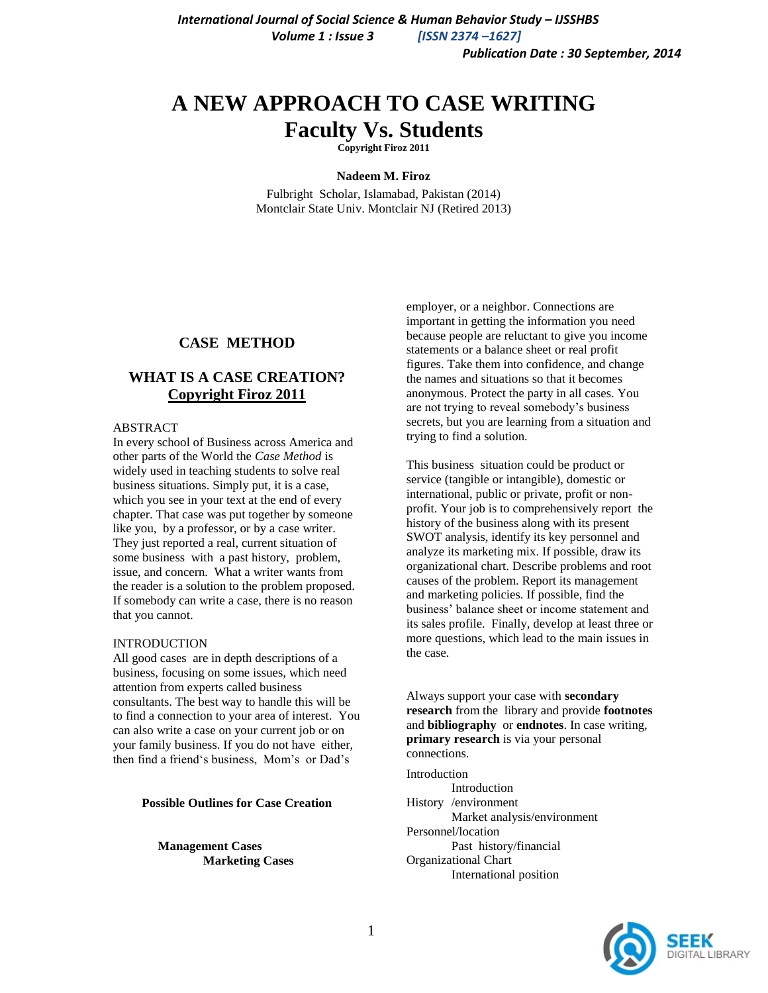# **A NEW APPROACH TO CASE WRITING Faculty Vs. Students**

**Copyright Firoz 2011**

#### **Nadeem M. Firoz**

Fulbright Scholar, Islamabad, Pakistan (2014) Montclair State Univ. Montclair NJ (Retired 2013)

#### **CASE METHOD**

### **WHAT IS A CASE CREATION? Copyright Firoz 2011**

#### ABSTRACT

In every school of Business across America and other parts of the World the *Case Method* is widely used in teaching students to solve real business situations. Simply put, it is a case, which you see in your text at the end of every chapter. That case was put together by someone like you, by a professor, or by a case writer. They just reported a real, current situation of some business with a past history, problem, issue, and concern. What a writer wants from the reader is a solution to the problem proposed. If somebody can write a case, there is no reason that you cannot.

#### **INTRODUCTION**

All good cases are in depth descriptions of a business, focusing on some issues, which need attention from experts called business consultants. The best way to handle this will be to find a connection to your area of interest. You can also write a case on your current job or on your family business. If you do not have either, then find a friend"s business, Mom"s or Dad"s

#### **Possible Outlines for Case Creation**

**Management Cases Marketing Cases** employer, or a neighbor. Connections are important in getting the information you need because people are reluctant to give you income statements or a balance sheet or real profit figures. Take them into confidence, and change the names and situations so that it becomes anonymous. Protect the party in all cases. You are not trying to reveal somebody"s business secrets, but you are learning from a situation and trying to find a solution.

This business situation could be product or service (tangible or intangible), domestic or international, public or private, profit or nonprofit. Your job is to comprehensively report the history of the business along with its present SWOT analysis, identify its key personnel and analyze its marketing mix. If possible, draw its organizational chart. Describe problems and root causes of the problem. Report its management and marketing policies. If possible, find the business" balance sheet or income statement and its sales profile. Finally, develop at least three or more questions, which lead to the main issues in the case.

Always support your case with **secondary research** from the library and provide **footnotes** and **bibliography** or **endnotes**. In case writing, **primary research** is via your personal connections.

Introduction Introduction History /environment Market analysis/environment Personnel/location Past history/financial Organizational Chart International position

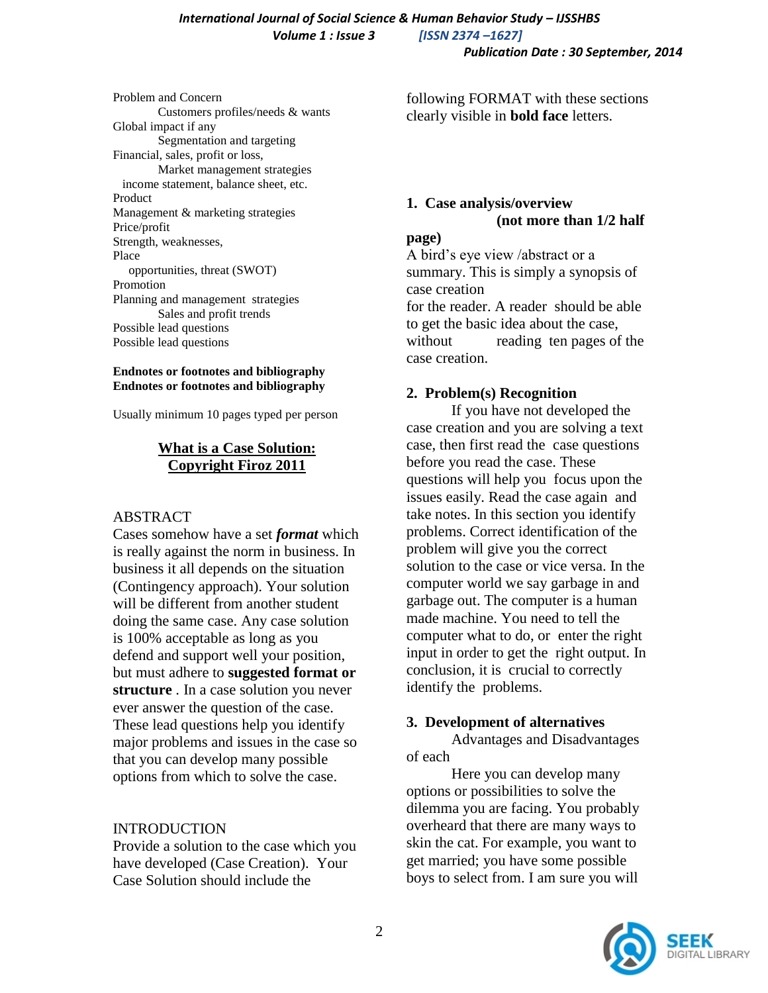# *International Journal of Social Science & Human Behavior Study – IJSSHBS Volume 1 : Issue 3 [ISSN 2374 –1627]*

 *Publication Date : 30 September, 2014*

Problem and Concern Customers profiles/needs & wants Global impact if any Segmentation and targeting Financial, sales, profit or loss, Market management strategies income statement, balance sheet, etc. Product Management & marketing strategies Price/profit Strength, weaknesses, Place opportunities, threat (SWOT) Promotion Planning and management strategies Sales and profit trends Possible lead questions Possible lead questions

#### **Endnotes or footnotes and bibliography Endnotes or footnotes and bibliography**

Usually minimum 10 pages typed per person

## **What is a Case Solution: Copyright Firoz 2011**

## ABSTRACT

Cases somehow have a set *format* which is really against the norm in business. In business it all depends on the situation (Contingency approach). Your solution will be different from another student doing the same case. Any case solution is 100% acceptable as long as you defend and support well your position, but must adhere to **suggested format or structure** . In a case solution you never ever answer the question of the case. These lead questions help you identify major problems and issues in the case so that you can develop many possible options from which to solve the case.

## INTRODUCTION

Provide a solution to the case which you have developed (Case Creation). Your Case Solution should include the

following FORMAT with these sections clearly visible in **bold face** letters.

# **1. Case analysis/overview (not more than 1/2 half**

#### **page)**

A bird"s eye view /abstract or a summary. This is simply a synopsis of case creation for the reader. A reader should be able to get the basic idea about the case, without reading ten pages of the case creation.

## **2. Problem(s) Recognition**

If you have not developed the case creation and you are solving a text case, then first read the case questions before you read the case. These questions will help you focus upon the issues easily. Read the case again and take notes. In this section you identify problems. Correct identification of the problem will give you the correct solution to the case or vice versa. In the computer world we say garbage in and garbage out. The computer is a human made machine. You need to tell the computer what to do, or enter the right input in order to get the right output. In conclusion, it is crucial to correctly identify the problems.

# **3. Development of alternatives**

Advantages and Disadvantages of each

Here you can develop many options or possibilities to solve the dilemma you are facing. You probably overheard that there are many ways to skin the cat. For example, you want to get married; you have some possible boys to select from. I am sure you will